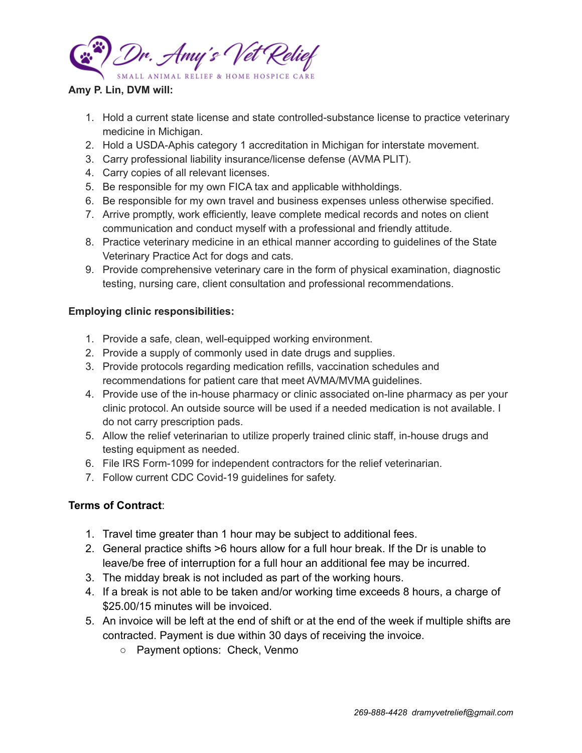

## **Amy P. Lin, DVM will:**

- 1. Hold a current state license and state controlled-substance license to practice veterinary medicine in Michigan.
- 2. Hold a USDA-Aphis category 1 accreditation in Michigan for interstate movement.
- 3. Carry professional liability insurance/license defense (AVMA PLIT).
- 4. Carry copies of all relevant licenses.
- 5. Be responsible for my own FICA tax and applicable withholdings.
- 6. Be responsible for my own travel and business expenses unless otherwise specified.
- 7. Arrive promptly, work efficiently, leave complete medical records and notes on client communication and conduct myself with a professional and friendly attitude.
- 8. Practice veterinary medicine in an ethical manner according to guidelines of the State Veterinary Practice Act for dogs and cats.
- 9. Provide comprehensive veterinary care in the form of physical examination, diagnostic testing, nursing care, client consultation and professional recommendations.

## **Employing clinic responsibilities:**

- 1. Provide a safe, clean, well-equipped working environment.
- 2. Provide a supply of commonly used in date drugs and supplies.
- 3. Provide protocols regarding medication refills, vaccination schedules and recommendations for patient care that meet AVMA/MVMA guidelines.
- 4. Provide use of the in-house pharmacy or clinic associated on-line pharmacy as per your clinic protocol. An outside source will be used if a needed medication is not available. I do not carry prescription pads.
- 5. Allow the relief veterinarian to utilize properly trained clinic staff, in-house drugs and testing equipment as needed.
- 6. File IRS Form-1099 for independent contractors for the relief veterinarian.
- 7. Follow current CDC Covid-19 guidelines for safety.

## **Terms of Contract**:

- 1. Travel time greater than 1 hour may be subject to additional fees.
- 2. General practice shifts >6 hours allow for a full hour break. If the Dr is unable to leave/be free of interruption for a full hour an additional fee may be incurred.
- 3. The midday break is not included as part of the working hours.
- 4. If a break is not able to be taken and/or working time exceeds 8 hours, a charge of \$25.00/15 minutes will be invoiced.
- 5. An invoice will be left at the end of shift or at the end of the week if multiple shifts are contracted. Payment is due within 30 days of receiving the invoice.
	- Payment options: Check, Venmo